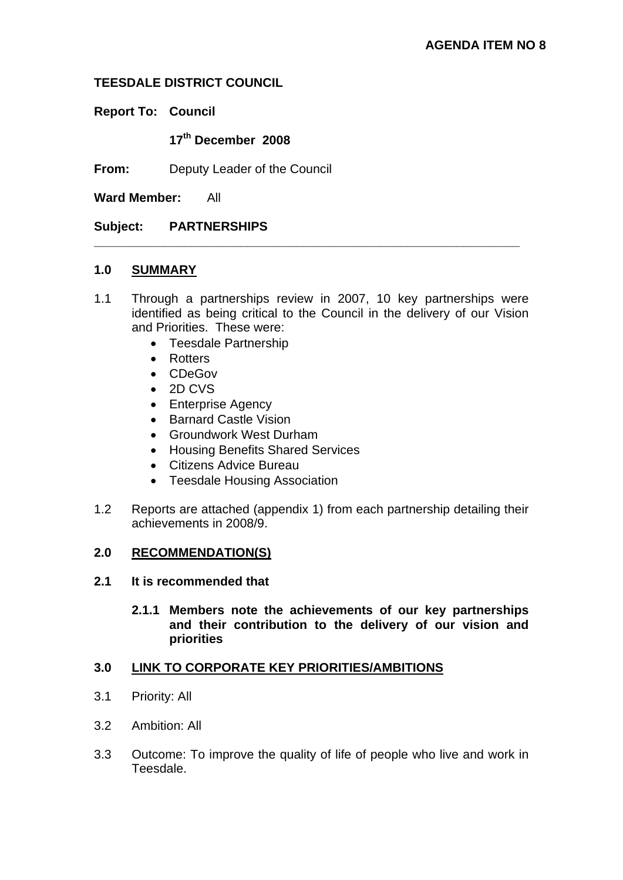### **TEESDALE DISTRICT COUNCIL**

**Report To: Council** 

**17th December 2008** 

**From:** Deputy Leader of the Council

**Ward Member:** All

### **Subject: PARTNERSHIPS**

#### **1.0 SUMMARY**

1.1 Through a partnerships review in 2007, 10 key partnerships were identified as being critical to the Council in the delivery of our Vision and Priorities. These were:

**\_\_\_\_\_\_\_\_\_\_\_\_\_\_\_\_\_\_\_\_\_\_\_\_\_\_\_\_\_\_\_\_\_\_\_\_\_\_\_\_\_\_\_\_\_\_\_\_\_\_\_\_\_\_\_\_\_\_\_\_\_** 

- Teesdale Partnership
- Rotters
- CDeGov
- 2D CVS
- Enterprise Agency
- Barnard Castle Vision
- Groundwork West Durham
- Housing Benefits Shared Services
- Citizens Advice Bureau
- Teesdale Housing Association
- 1.2 Reports are attached (appendix 1) from each partnership detailing their achievements in 2008/9.

#### **2.0 RECOMMENDATION(S)**

- **2.1 It is recommended that** 
	- **2.1.1 Members note the achievements of our key partnerships and their contribution to the delivery of our vision and priorities**

### **3.0 LINK TO CORPORATE KEY PRIORITIES/AMBITIONS**

- 3.1 Priority: All
- 3.2 Ambition: All
- 3.3 Outcome: To improve the quality of life of people who live and work in Teesdale.